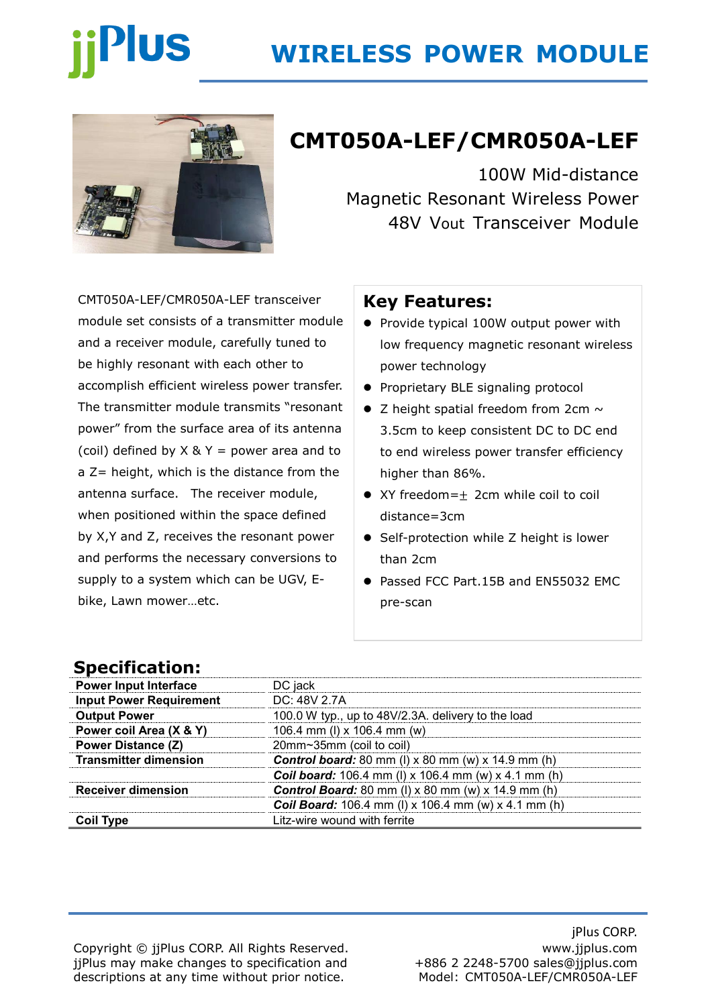# **Plus**

# **WIRELESS POWER MODULE**



# **CMT050A-LEF/CMR050A-LEF**

100W Mid-distance Magnetic Resonant Wireless Power 48V Vout Transceiver Module

CMT050A-LEF/CMR050A-LEF transceiver module set consists of a transmitter module and a receiver module, carefully tuned to be highly resonant with each other to accomplish efficient wireless power transfer. The transmitter module transmits "resonant power" from the surface area of its antenna (coil) defined by  $X \& Y =$  power area and to a Z= height, which is the distance from the antenna surface. The receiver module, when positioned within the space defined by X,Y and Z, receives the resonant power and performs the necessary conversions to supply to a system which can be UGV, Ebike, Lawn mower…etc.

#### **Key Features:**

- ⚫ Provide typical 100W output power with low frequency magnetic resonant wireless power technology
- Proprietary BLE signaling protocol
- $\bullet$  Z height spatial freedom from 2cm  $\sim$ 3.5cm to keep consistent DC to DC end to end wireless power transfer efficiency higher than 86%.
- XY freedom=+ 2cm while coil to coil distance=3cm
- Self-protection while Z height is lower than 2cm
- Passed FCC Part.15B and EN55032 EMC pre-scan

### **Specification:**

| <b>Power Input Interface</b>   | DC jack                                                       |  |
|--------------------------------|---------------------------------------------------------------|--|
| <b>Input Power Requirement</b> | DC: 48V 2.7A                                                  |  |
| <b>Output Power</b>            | 100.0 W typ., up to 48V/2.3A. delivery to the load            |  |
| Power coil Area (X & Y)        | 106.4 mm (I) x 106.4 mm (w)                                   |  |
| <b>Power Distance (Z)</b>      | 20mm~35mm (coil to coil)                                      |  |
| <b>Transmitter dimension</b>   | <b>Control board:</b> 80 mm (I) $x$ 80 mm (w) $x$ 14.9 mm (h) |  |
|                                | <b>Coil board:</b> 106.4 mm (I) x 106.4 mm (w) x 4.1 mm (h)   |  |
| <b>Receiver dimension</b>      | <b>Control Board:</b> 80 mm (I) $x$ 80 mm (w) $x$ 14.9 mm (h) |  |
|                                | <b>Coil Board:</b> 106.4 mm (I) x 106.4 mm (w) x 4.1 mm (h)   |  |
| <b>Coil Type</b>               | Litz-wire wound with ferrite                                  |  |

Copyright © jjPlus CORP. All Rights Reserved. jjPlus may make changes to specification and descriptions at any time without prior notice.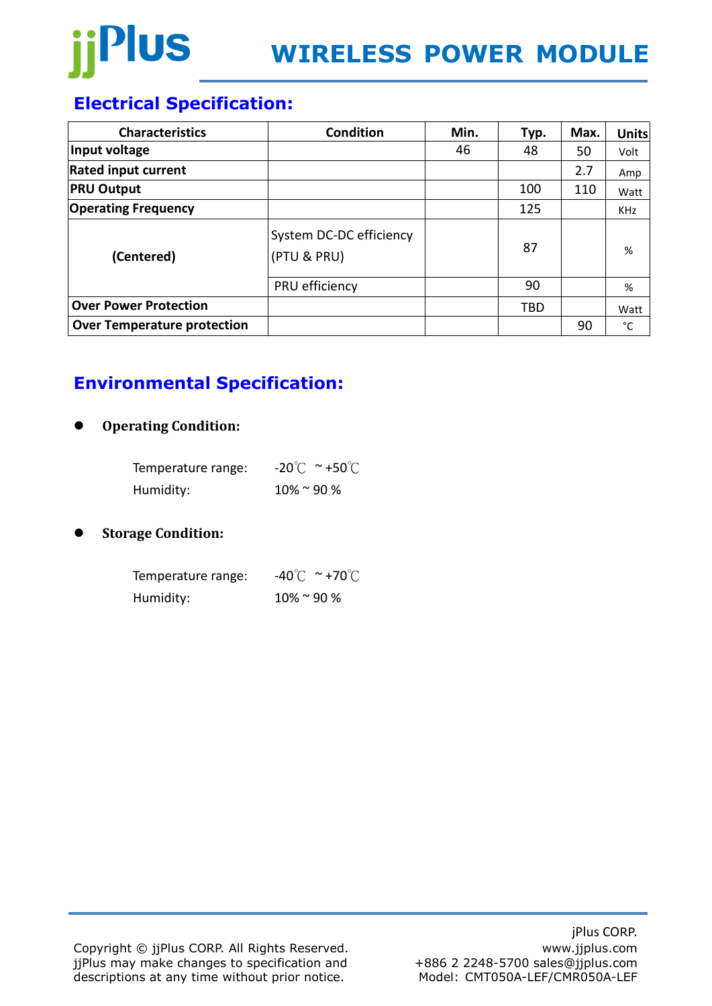

## **Electrical Specification:**

| <b>Characteristics</b>             | <b>Condition</b>                       | Min. | Typ. | Max. | <b>Units</b> |
|------------------------------------|----------------------------------------|------|------|------|--------------|
| Input voltage                      |                                        | 46   | 48   | 50   | Volt         |
| <b>Rated input current</b>         |                                        |      |      | 2.7  | Amp          |
| <b>PRU Output</b>                  |                                        |      | 100  | 110  | Watt         |
| <b>Operating Frequency</b>         |                                        |      | 125  |      | <b>KHz</b>   |
| (Centered)                         | System DC-DC efficiency<br>(PTU & PRU) |      | 87   |      | %            |
|                                    | PRU efficiency                         |      | 90   |      | %            |
| <b>Over Power Protection</b>       |                                        |      | TBD  |      | Watt         |
| <b>Over Temperature protection</b> |                                        |      |      | 90   | °C           |

## **Environmental Specification:**

#### ⚫ **Operating Condition:**

| Temperature range: | $-20^{\circ}$ C ~ +50 $^{\circ}$ C |
|--------------------|------------------------------------|
| Humidity:          | $10\%$ ~ 90 %                      |

#### ⚫ **Storage Condition:**

| Temperature range: | $-40^{\circ}$ C ~ +70 $^{\circ}$ C |
|--------------------|------------------------------------|
| Humidity:          | $10\%$ ~ 90 %                      |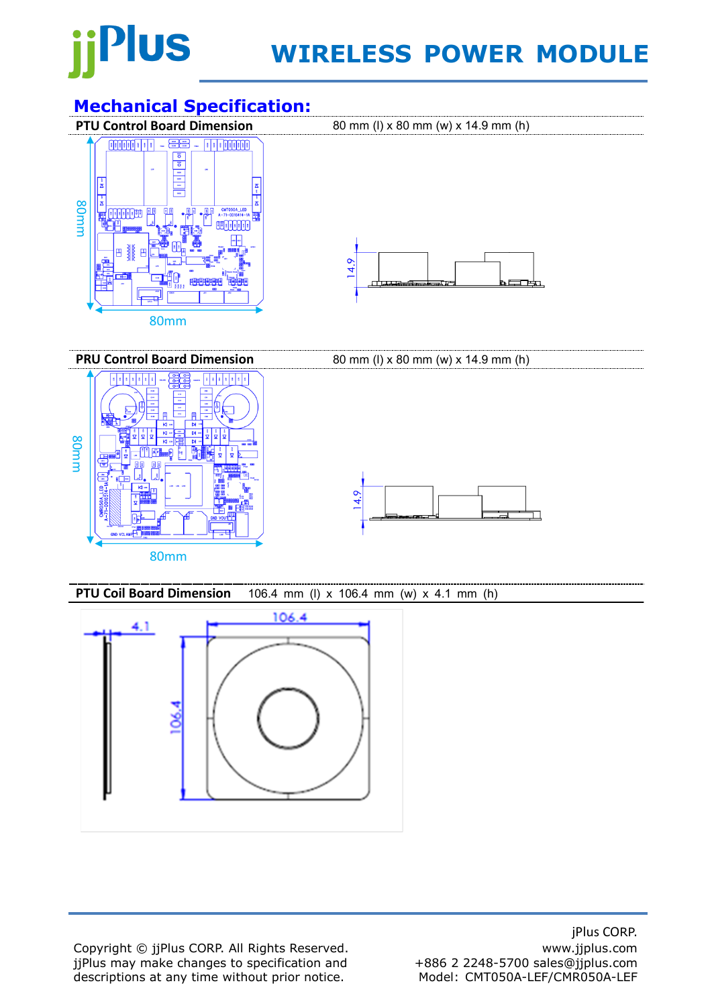

# **WIRELESS POWER MODULE**

# **Mechanical Specification:**<br>**PTU Control Board Dimension**



**PRU Control Board Dimension** 80 mm (I) x 80 mm (w) x 14.9 mm (h) **TERRITE** 80mm $14.9$ 80mm

**PTU Coil Board Dimension** 106.4 mm (l) x 106.4 mm (w) x 4.1 mm (h)



Copyright © jjPlus CORP. All Rights Reserved. jjPlus may make changes to specification and descriptions at any time without prior notice.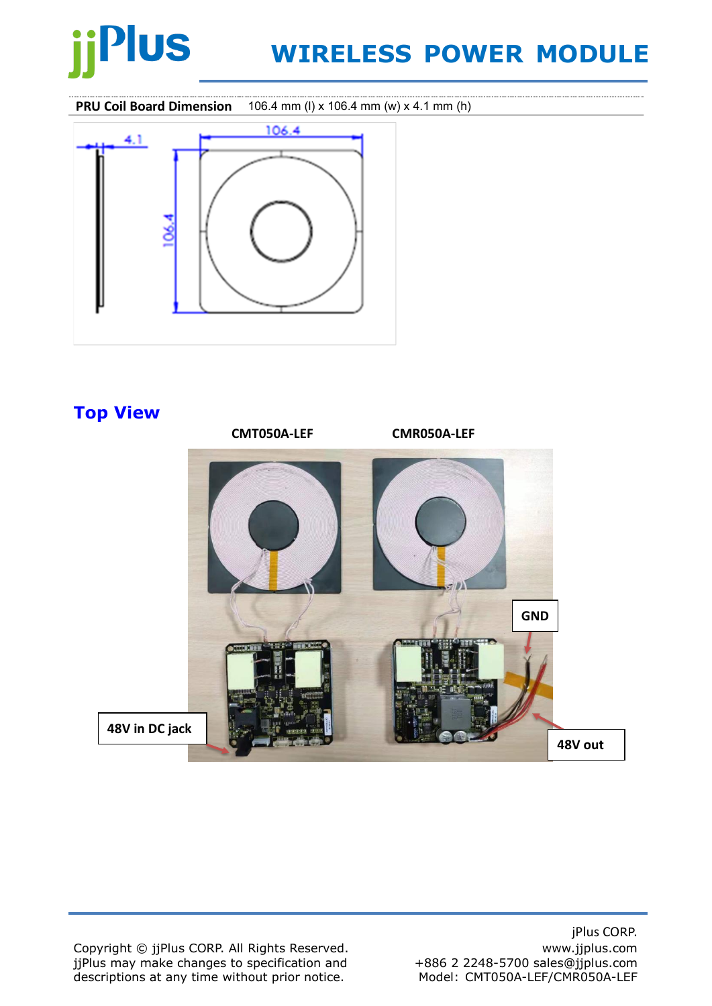

# **WIRELESS POWER MODULE**

**PRU Coil Board Dimension** 106.4 mm (l) x 106.4 mm (w) x 4.1 mm (h)



### **Top View**



Copyright © jjPlus CORP. All Rights Reserved. jjPlus may make changes to specification and descriptions at any time without prior notice.

jPlus CORP. www.jjplus.com +886 2 2248-5700 sales@jjplus.com Model: CMT050A-LEF/CMR050A-LEF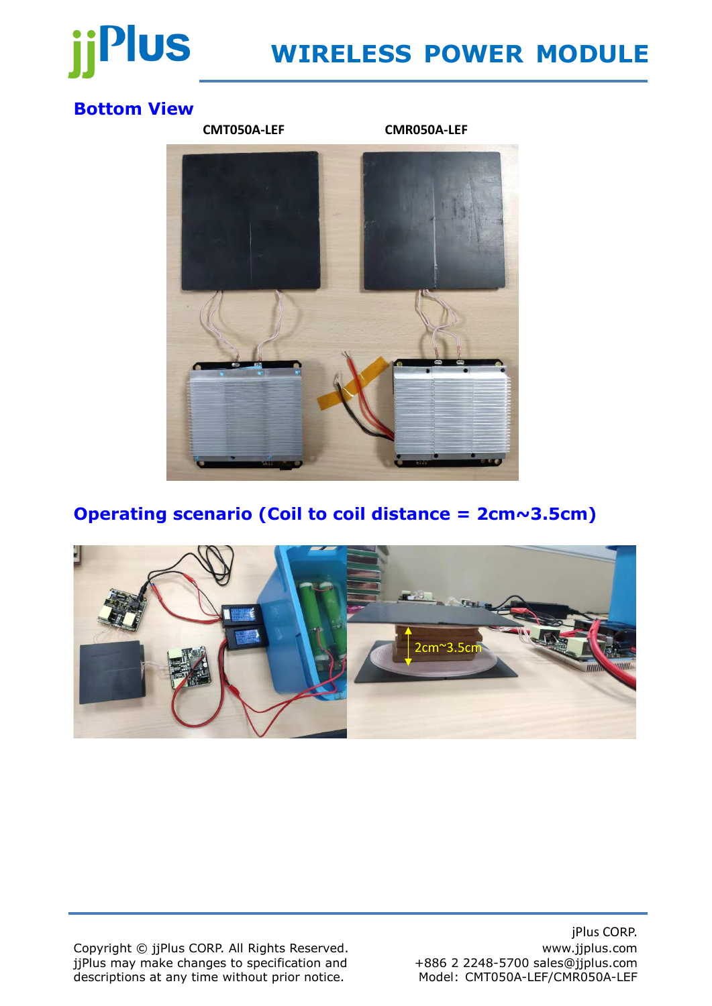

# **WIRELESS POWER MODULE**

### **Bottom View**



### **Operating scenario (Coil to coil distance = 2cm~3.5cm)**



Copyright © jjPlus CORP. All Rights Reserved. jjPlus may make changes to specification and descriptions at any time without prior notice.